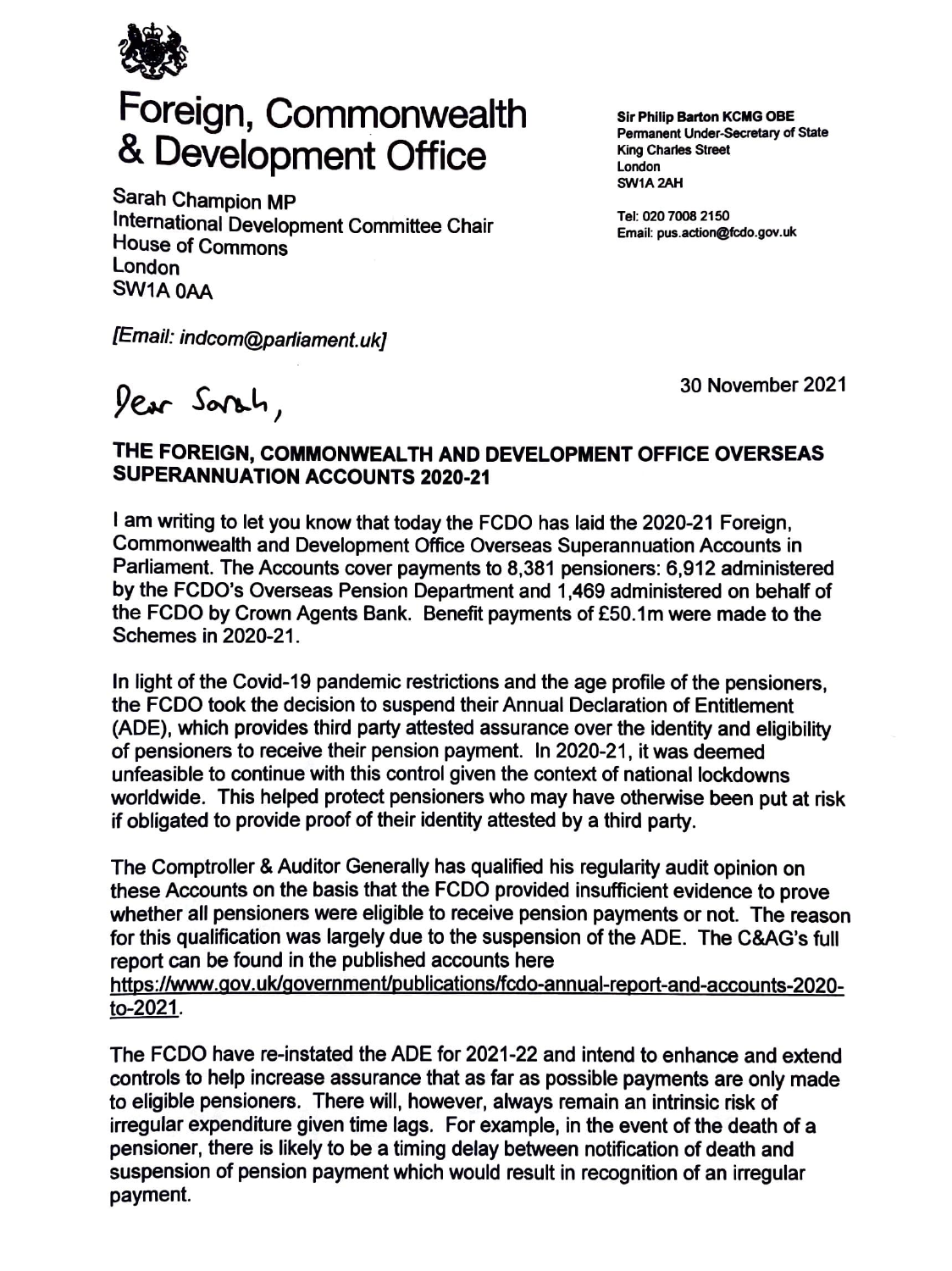

## Foreign, Commonwealth & Development Office

Sarah Champion MP International Development Committee Chair House of Commons London **SW1A0AA** 

**Sir Phlllp Barton KCIIG OBE Pennanent Under-Secreta,y of Stat<sup>e</sup> King Charles Street**  London **SW1A2AH** 

Tel: 020 7008 2150 Email: pus.action@fcdo.gov.uk

[Email: indcom@parliament.uk]

lear Sarah,

30 November 2021

## **THE FOREIGN, COMMONWEAL TH AND DEVELOPMENT OFFICE OVERSEAS SUPERANNUATION ACCOUNTS 2020-21**

I am writing to let you know that today the FCDO has laid the 2020-21 Foreign, Commonwealth and Development Office Overseas Superannuation Accounts in Parliament. The Accounts cover payments to 8,381 pensioners: 6,912 administered by the FCDO's Overseas Pension Department and 1,469 administered on behalf of the FCDO by Crown Agents Bank. Benefit payments of £50.1 m were made to the Schemes in 2020-21.

In light of the Covid-19 pandemic restrictions and the age profile of the pensioners, the FCDO took the decision to suspend their Annual Declaration of Entitlement (ADE), which provides third party attested assurance over the identity and eligibility of pensioners to receive their pension payment. In 2020-21, it was deemed unfeasible to continue with this control given the context of national lockdowns worldwide. This helped protect pensioners who may have otherwise been put at risk if obligated to provide proof of their identity attested by a third party.

The Comptroller & Auditor Generally has qualified his regularity audit opinion on these Accounts on the basis that the FCDO provided insufficient evidence to prove whether all pensioners were eligible to receive pension payments or not. The reason for this qualification was largely due to the suspension of the ADE. The C&AG's full report can be found in the published accounts here

https://www.qov.uk/government/publications/fcdo-annual-report-and-accounts-2020 to-2021.

The FCDO have re-instated the ADE for 2021-22 and intend to enhance and extend controls to help increase assurance that as far as possible payments are only made to eligible pensioners. There will, however, always remain an intrinsic risk of irregular expenditure given time lags. For example, in the event of the death of <sup>a</sup> pensioner, there is likely to be a timing delay between notification of death and suspension of pension payment which would result in recognition of an irregular payment.